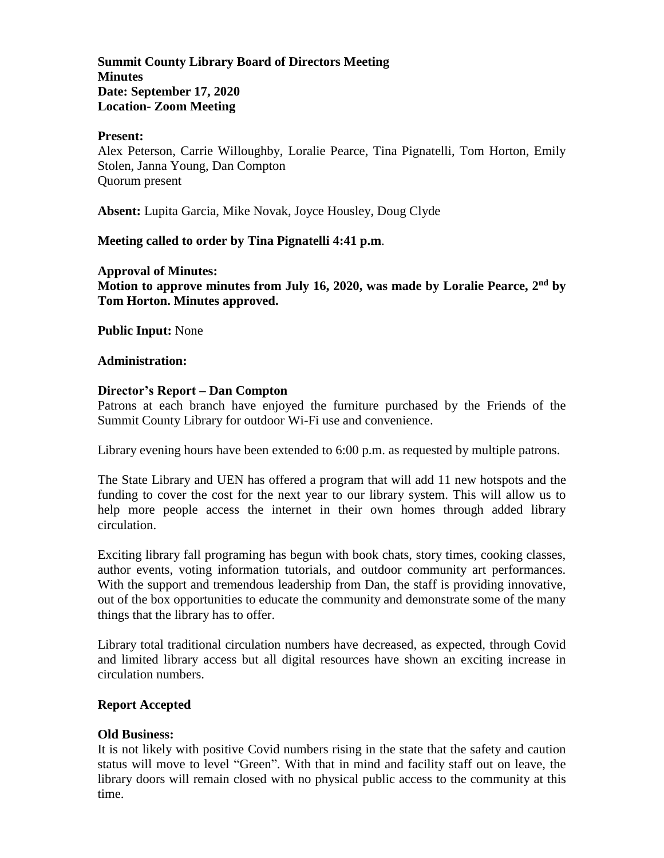**Summit County Library Board of Directors Meeting Minutes Date: September 17, 2020 Location- Zoom Meeting**

# **Present:**

Alex Peterson, Carrie Willoughby, Loralie Pearce, Tina Pignatelli, Tom Horton, Emily Stolen, Janna Young, Dan Compton Quorum present

**Absent:** Lupita Garcia, Mike Novak, Joyce Housley, Doug Clyde

# **Meeting called to order by Tina Pignatelli 4:41 p.m**.

**Approval of Minutes: Motion to approve minutes from July 16, 2020, was made by Loralie Pearce, 2 nd by Tom Horton. Minutes approved.** 

**Public Input:** None

# **Administration:**

# **Director's Report – Dan Compton**

Patrons at each branch have enjoyed the furniture purchased by the Friends of the Summit County Library for outdoor Wi-Fi use and convenience.

Library evening hours have been extended to 6:00 p.m. as requested by multiple patrons.

The State Library and UEN has offered a program that will add 11 new hotspots and the funding to cover the cost for the next year to our library system. This will allow us to help more people access the internet in their own homes through added library circulation.

Exciting library fall programing has begun with book chats, story times, cooking classes, author events, voting information tutorials, and outdoor community art performances. With the support and tremendous leadership from Dan, the staff is providing innovative, out of the box opportunities to educate the community and demonstrate some of the many things that the library has to offer.

Library total traditional circulation numbers have decreased, as expected, through Covid and limited library access but all digital resources have shown an exciting increase in circulation numbers.

### **Report Accepted**

# **Old Business:**

It is not likely with positive Covid numbers rising in the state that the safety and caution status will move to level "Green". With that in mind and facility staff out on leave, the library doors will remain closed with no physical public access to the community at this time.